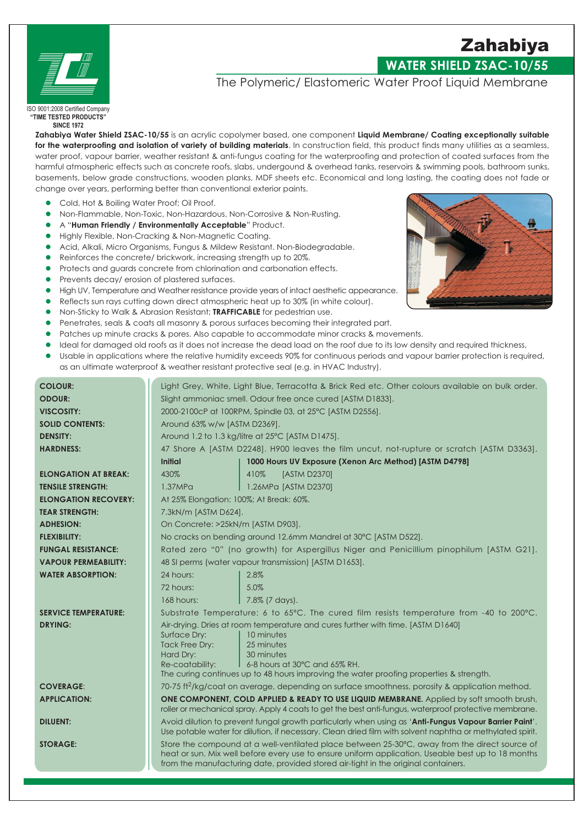

# **WATER SHIELD ZSAC-10/55**

## The Polymeric/ Elastomeric Water Proof Liquid Membrane

ISO 9001:2008 Certified Company "TIME TESTED PRODUCTS" **SINCE 1972** 

Zahabiya Water Shield ZSAC-10/55 is an acrylic copolymer based, one component Liquid Membrane/ Coating exceptionally suitable for the waterproofing and isolation of variety of building materials. In construction field, this product finds many utilities as a seamless, water proof, vapour barrier, weather resistant & anti-fungus coating for the waterproofing and protection of coated surfaces from the harmful atmospheric effects such as concrete roofs, slabs, undergound & overhead tanks, reservoirs & swimming pools, bathroom sunks, basements, below grade constructions, wooden planks, MDF sheets etc. Economical and long lasting, the coating does not fade or change over years, performing better than conventional exterior paints.

- Cold, Hot & Boiling Water Proof; Oil Proof.
- Non-Flammable, Non-Toxic, Non-Hazardous, Non-Corrosive & Non-Rusting.  $\bullet$
- A "Human Friendly / Environmentally Acceptable" Product.  $\bullet$
- Highly Flexible, Non-Cracking & Non-Magnetic Coating.  $\bullet$
- Acid, Alkali, Micro Organisms, Fungus & Mildew Resistant. Non-Biodegradable.  $\bullet$
- Reinforces the concrete/ brickwork, increasing strength up to 20%.  $\bullet$
- Protects and guards concrete from chlorination and carbonation effects.  $\bullet$
- Prevents decay/erosion of plastered surfaces.
- High UV, Temperature and Weather resistance provide years of intact aesthetic appearance.
- Reflects sun rays cutting down direct atmospheric heat up to 30% (in white colour).
- Non-Sticky to Walk & Abrasion Resistant; TRAFFICABLE for pedestrian use.
- Penetrates, seals & coats all masonry & porous surfaces becoming their integrated part.
- Patches up minute cracks & pores. Also capable to accommodate minor cracks & movements.
- Ideal for damaged old roofs as it does not increase the dead load on the roof due to its low density and required thickness,
- Usable in applications where the relative humidity exceeds 90% for continuous periods and vapour barrier protection is required, as an ultimate waterproof & weather resistant protective seal (e.g. in HVAC Industry).

| <b>COLOUR:</b>              | Light Grey, White, Light Blue, Terracotta & Brick Red etc. Other colours available on bulk order.                                                                                                                                                                                         |                                                                                         |  |
|-----------------------------|-------------------------------------------------------------------------------------------------------------------------------------------------------------------------------------------------------------------------------------------------------------------------------------------|-----------------------------------------------------------------------------------------|--|
| <b>ODOUR:</b>               | Slight ammoniac smell. Odour free once cured [ASTM D1833].                                                                                                                                                                                                                                |                                                                                         |  |
| <b>VISCOSITY:</b>           | 2000-2100cP at 100RPM, Spindle 03, at 25°C [ASTM D2556].                                                                                                                                                                                                                                  |                                                                                         |  |
| <b>SOLID CONTENTS:</b>      | Around 63% w/w [ASTM D2369].                                                                                                                                                                                                                                                              |                                                                                         |  |
| <b>DENSITY:</b>             | Around 1.2 to 1.3 kg/litre at 25°C [ASTM D1475].                                                                                                                                                                                                                                          |                                                                                         |  |
| <b>HARDNESS:</b>            | 47 Shore A [ASTM D2248]. H900 leaves the film uncut, not-rupture or scratch [ASTM D3363].                                                                                                                                                                                                 |                                                                                         |  |
|                             | <b>Initial</b>                                                                                                                                                                                                                                                                            | 1000 Hours UV Exposure (Xenon Arc Method) [ASTM D4798]                                  |  |
| <b>ELONGATION AT BREAK:</b> | 430%                                                                                                                                                                                                                                                                                      | [ASTM D2370]<br>410%                                                                    |  |
| <b>TENSILE STRENGTH:</b>    | 1.37MP <sub>G</sub>                                                                                                                                                                                                                                                                       | 1.26MPa [ASTM D2370]                                                                    |  |
| <b>ELONGATION RECOVERY:</b> | At 25% Elongation: 100%; At Break: 60%.                                                                                                                                                                                                                                                   |                                                                                         |  |
| <b>TEAR STRENGTH:</b>       |                                                                                                                                                                                                                                                                                           | 7.3kN/m [ASTM D624].                                                                    |  |
| <b>ADHESION:</b>            |                                                                                                                                                                                                                                                                                           | On Concrete: >25kN/m [ASTM D903].                                                       |  |
| <b>FLEXIBILITY:</b>         |                                                                                                                                                                                                                                                                                           | No cracks on bending around 12.6mm Mandrel at 30°C [ASTM D522].                         |  |
| <b>FUNGAL RESISTANCE:</b>   |                                                                                                                                                                                                                                                                                           | Rated zero "0" (no growth) for Aspergillus Niger and Penicillium pinophilum [ASTM G21]. |  |
| <b>VAPOUR PERMEABILITY:</b> | 48 SI perms (water vapour transmission) [ASTM D1653].                                                                                                                                                                                                                                     |                                                                                         |  |
| <b>WATER ABSORPTION:</b>    | 24 hours:                                                                                                                                                                                                                                                                                 | 2.8%                                                                                    |  |
|                             | 72 hours:                                                                                                                                                                                                                                                                                 | 5.0%                                                                                    |  |
|                             | 168 hours:                                                                                                                                                                                                                                                                                | 7.8% (7 days).                                                                          |  |
| <b>SERVICE TEMPERATURE:</b> | Substrate Temperature: 6 to 65°C. The cured film resists temperature from -40 to 200°C.                                                                                                                                                                                                   |                                                                                         |  |
| <b>DRYING:</b>              | Air-drying. Dries at room temperature and cures further with time. [ASTM D1640]                                                                                                                                                                                                           |                                                                                         |  |
|                             | Surface Dry:<br>Tack Free Dry:                                                                                                                                                                                                                                                            | 10 minutes<br>25 minutes                                                                |  |
|                             | Hard Dry:                                                                                                                                                                                                                                                                                 | 30 minutes                                                                              |  |
|                             | Re-coatability:                                                                                                                                                                                                                                                                           | $\blacksquare$ 6-8 hours at 30°C and 65% RH.                                            |  |
|                             | The curing continues up to 48 hours improving the water proofing properties & strength.                                                                                                                                                                                                   |                                                                                         |  |
| <b>COVERAGE:</b>            | 70-75 ft <sup>2</sup> /kg/coat on average, depending on surface smoothness, porosity & application method.                                                                                                                                                                                |                                                                                         |  |
| <b>APPLICATION:</b>         | ONE COMPONENT, COLD APPLIED & READY TO USE LIQUID MEMBRANE. Applied by soft smooth brush,<br>roller or mechanical spray. Apply 4 coats to get the best anti-fungus, waterproof protective membrane.                                                                                       |                                                                                         |  |
| <b>DILUENT:</b>             | Avoid dilution to prevent fungal growth particularly when using as 'Anti-Fungus Vapour Barrier Paint'.<br>Use potable water for dilution, if necessary. Clean dried film with solvent naphtha or methylated spirit.                                                                       |                                                                                         |  |
| <b>STORAGE:</b>             | Store the compound at a well-ventilated place between 25-30°C, away from the direct source of<br>heat or sun. Mix well before every use to ensure uniform application. Useable best up to 18 months<br>from the manufacturing date, provided stored air-tight in the original containers. |                                                                                         |  |



Zahabiya